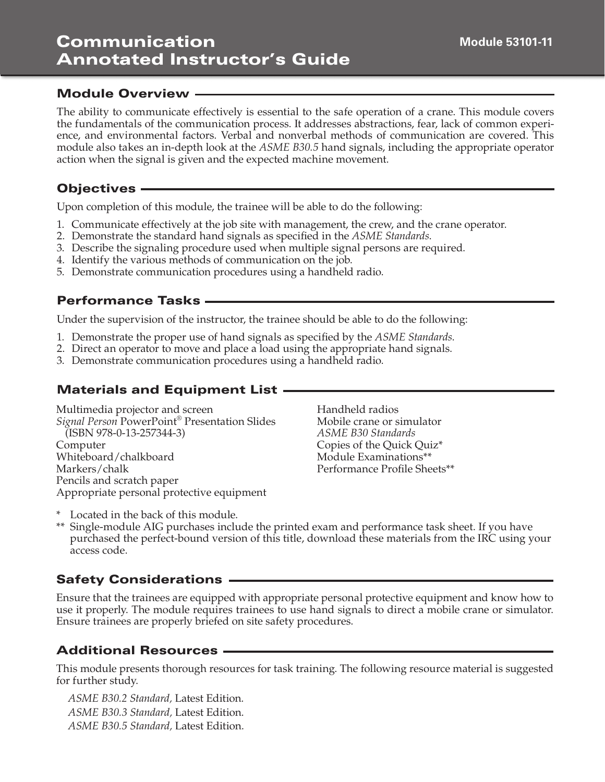#### Module Overview

The ability to communicate effectively is essential to the safe operation of a crane. This module covers the fundamentals of the communication process. It addresses abstractions, fear, lack of common experience, and environmental factors. Verbal and nonverbal methods of communication are covered. This module also takes an in-depth look at the *ASME B30.5* hand signals, including the appropriate operator action when the signal is given and the expected machine movement.

#### Objectives

Upon completion of this module, the trainee will be able to do the following:

- 1. Communicate effectively at the job site with management, the crew, and the crane operator.
- 2. Demonstrate the standard hand signals as specified in the *ASME Standards*.
- 3. Describe the signaling procedure used when multiple signal persons are required.
- 4. Identify the various methods of communication on the job.
- 5. Demonstrate communication procedures using a handheld radio.

## Performance Tasks

Under the supervision of the instructor, the trainee should be able to do the following:

- 1. Demonstrate the proper use of hand signals as specified by the *ASME Standards*.
- 2. Direct an operator to move and place a load using the appropriate hand signals.
- 3. Demonstrate communication procedures using a handheld radio.

## Materials and Equipment List

Multimedia projector and screen *Signal Person* PowerPoint® Presentation Slides (ISBN 978-0-13-257344-3) Computer Whiteboard/chalkboard Markers/chalk Pencils and scratch paper Appropriate personal protective equipment

Handheld radios Mobile crane or simulator *ASME B30 Standards*  Copies of the Quick Quiz\* Module Examinations\*\* Performance Profile Sheets\*\*

\* Located in the back of this module.

\*\* Single-module AIG purchases include the printed exam and performance task sheet. If you have purchased the perfect-bound version of this title, download these materials from the IRC using your access code.

## Safety Considerations

Ensure that the trainees are equipped with appropriate personal protective equipment and know how to use it properly. The module requires trainees to use hand signals to direct a mobile crane or simulator. Ensure trainees are properly briefed on site safety procedures.

## Additional Resources

This module presents thorough resources for task training. The following resource material is suggested for further study.

*ASME B30.2 Standard,* Latest Edition. *ASME B30.3 Standard,* Latest Edition. *ASME B30.5 Standard,* Latest Edition.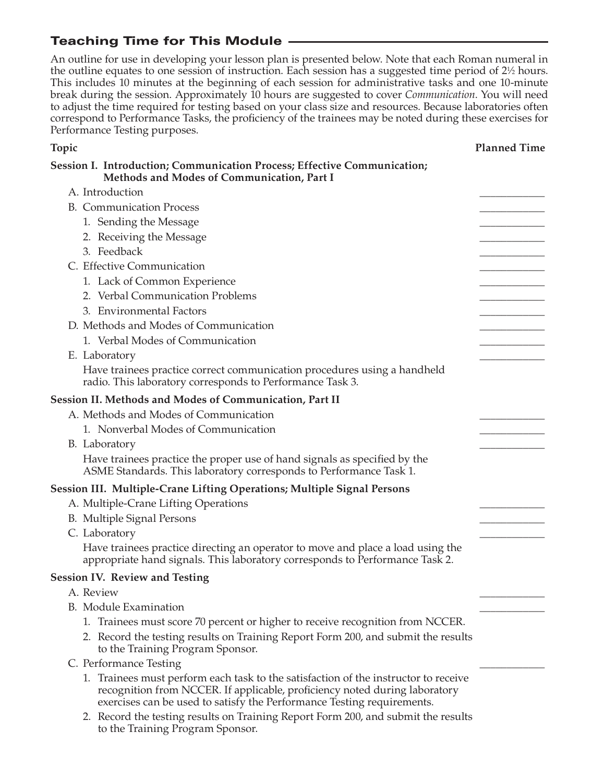# Teaching Time for This Module

An outline for use in developing your lesson plan is presented below. Note that each Roman numeral in the outline equates to one session of instruction. Each session has a suggested time period of 2½ hours. This includes 10 minutes at the beginning of each session for administrative tasks and one 10-minute break during the session. Approximately 10 hours are suggested to cover *Communication*. You will need to adjust the time required for testing based on your class size and resources. Because laboratories often correspond to Performance Tasks, the proficiency of the trainees may be noted during these exercises for Performance Testing purposes.

**Topic Planned Time**

## **Session I. Introduction; Communication Process; Effective Communication; Methods and Modes of Communication, Part I** A. Introduction B. Communication Process 1. Sending the Message 2. Receiving the Message 3. Feedback C. Effective Communication 1. Lack of Common Experience 2. Verbal Communication Problems 3. Environmental Factors D. Methods and Modes of Communication 1. Verbal Modes of Communication E. Laboratory Have trainees practice correct communication procedures using a handheld radio. This laboratory corresponds to Performance Task 3. **Session II. Methods and Modes of Communication, Part II** A. Methods and Modes of Communication 1. Nonverbal Modes of Communication B. Laboratory Have trainees practice the proper use of hand signals as specified by the ASME Standards. This laboratory corresponds to Performance Task 1. **Session III. Multiple-Crane Lifting Operations; Multiple Signal Persons** A. Multiple-Crane Lifting Operations B. Multiple Signal Persons C. Laboratory Have trainees practice directing an operator to move and place a load using the appropriate hand signals. This laboratory corresponds to Performance Task 2. **Session IV. Review and Testing** A. Review \_\_\_\_\_\_\_\_\_\_\_\_ B. Module Examination 1. Trainees must score 70 percent or higher to receive recognition from NCCER. 2. Record the testing results on Training Report Form 200, and submit the results to the Training Program Sponsor. C. Performance Testing 1. Trainees must perform each task to the satisfaction of the instructor to receive recognition from NCCER. If applicable, proficiency noted during laboratory exercises can be used to satisfy the Performance Testing requirements.

 2. Record the testing results on Training Report Form 200, and submit the results to the Training Program Sponsor.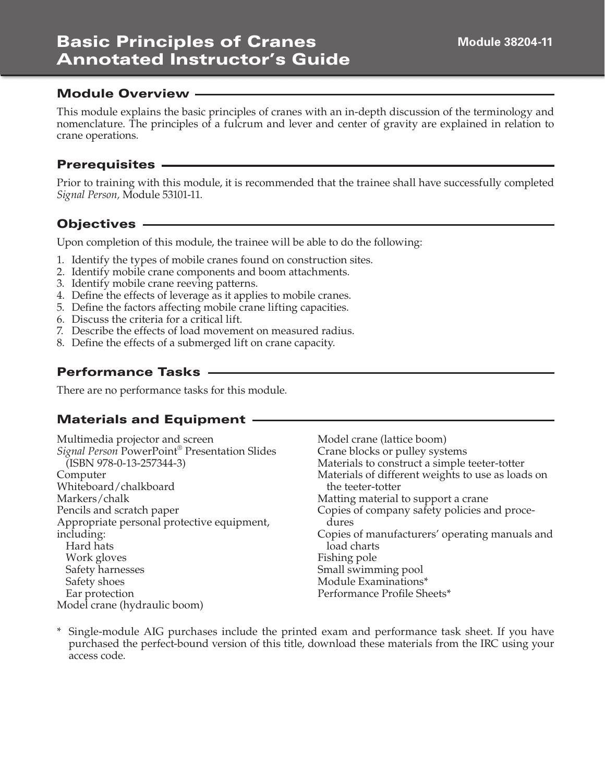# Basic Principles of Cranes Annotated Instructor's Guide

This module explains the basic principles of cranes with an in-depth discussion of the terminology and nomenclature. The principles of a fulcrum and lever and center of gravity are explained in relation to crane operations.

## Prerequisites

Prior to training with this module, it is recommended that the trainee shall have successfully completed *Signal Person,* Module 53101-11.

## Objectives —

Upon completion of this module, the trainee will be able to do the following:

- 1. Identify the types of mobile cranes found on construction sites.
- 2. Identify mobile crane components and boom attachments.
- 3. Identify mobile crane reeving patterns.
- 4. Define the effects of leverage as it applies to mobile cranes.
- 5. Define the factors affecting mobile crane lifting capacities.
- 6. Discuss the criteria for a critical lift.
- 7. Describe the effects of load movement on measured radius.
- 8. Define the effects of a submerged lift on crane capacity.

## Performance Tasks

There are no performance tasks for this module.

# Materials and Equipment

| Multimedia projector and screen               | Model crane (lattice boom)                        |
|-----------------------------------------------|---------------------------------------------------|
| Signal Person PowerPoint® Presentation Slides | Crane blocks or pulley systems                    |
| (ISBN 978-0-13-257344-3)                      | Materials to construct a simple teeter-totter     |
| Computer                                      | Materials of different weights to use as loads on |
| Whiteboard/chalkboard                         | the teeter-totter                                 |
| Markers/chalk                                 | Matting material to support a crane               |
| Pencils and scratch paper                     | Copies of company safety policies and proce-      |
| Appropriate personal protective equipment,    | dures                                             |
| including:                                    | Copies of manufacturers' operating manuals and    |
| Hard hats                                     | load charts                                       |
| Work gloves                                   | Fishing pole                                      |
| Safety harnesses                              | Small swimming pool                               |
| Safety shoes                                  | Module Examinations*                              |
| Ear protection                                | Performance Profile Sheets*                       |
| Model crane (hydraulic boom)                  |                                                   |

\* Single-module AIG purchases include the printed exam and performance task sheet. If you have purchased the perfect-bound version of this title, download these materials from the IRC using your access code.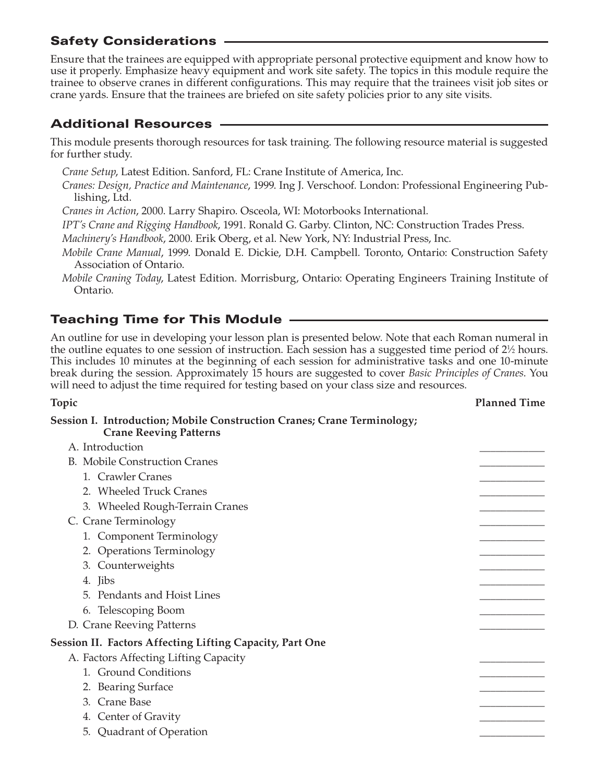## Safety Considerations

Ensure that the trainees are equipped with appropriate personal protective equipment and know how to use it properly. Emphasize heavy equipment and work site safety. The topics in this module require the trainee to observe cranes in different configurations. This may require that the trainees visit job sites or crane yards. Ensure that the trainees are briefed on site safety policies prior to any site visits.

## Additional Resources

This module presents thorough resources for task training. The following resource material is suggested for further study.

*Crane Setup*, Latest Edition. Sanford, FL: Crane Institute of America, Inc.

*Cranes: Design, Practice and Maintenance*, 1999. Ing J. Verschoof. London: Professional Engineering Publishing, Ltd.

*Cranes in Action*, 2000. Larry Shapiro. Osceola, WI: Motorbooks International.

*IPT's Crane and Rigging Handbook*, 1991. Ronald G. Garby. Clinton, NC: Construction Trades Press.

*Machinery's Handbook*, 2000. Erik Oberg, et al. New York, NY: Industrial Press, Inc.

*Mobile Crane Manual*, 1999. Donald E. Dickie, D.H. Campbell. Toronto, Ontario: Construction Safety Association of Ontario.

*Mobile Craning Today*, Latest Edition. Morrisburg, Ontario: Operating Engineers Training Institute of Ontario.

## Teaching Time for This Module

An outline for use in developing your lesson plan is presented below. Note that each Roman numeral in the outline equates to one session of instruction. Each session has a suggested time period of 2½ hours. This includes 10 minutes at the beginning of each session for administrative tasks and one 10-minute break during the session. Approximately 15 hours are suggested to cover *Basic Principles of Cranes*. You will need to adjust the time required for testing based on your class size and resources.

#### **Topic Planned Time**

#### **Session I. Introduction; Mobile Construction Cranes; Crane Terminology; Crane Reeving Patterns**

| A. Introduction                                                 |  |
|-----------------------------------------------------------------|--|
| <b>B.</b> Mobile Construction Cranes                            |  |
| 1. Crawler Cranes                                               |  |
| 2. Wheeled Truck Cranes                                         |  |
| 3. Wheeled Rough-Terrain Cranes                                 |  |
| C. Crane Terminology                                            |  |
| 1. Component Terminology                                        |  |
| 2. Operations Terminology                                       |  |
| 3. Counterweights                                               |  |
| 4. Jibs                                                         |  |
| 5. Pendants and Hoist Lines                                     |  |
| 6. Telescoping Boom                                             |  |
| D. Crane Reeving Patterns                                       |  |
| <b>Session II. Factors Affecting Lifting Capacity, Part One</b> |  |
| A. Factors Affecting Lifting Capacity                           |  |
| <b>Ground Conditions</b>                                        |  |
| 2. Bearing Surface                                              |  |
| 3. Crane Base                                                   |  |
| 4. Center of Gravity                                            |  |
| 5. Quadrant of Operation                                        |  |
|                                                                 |  |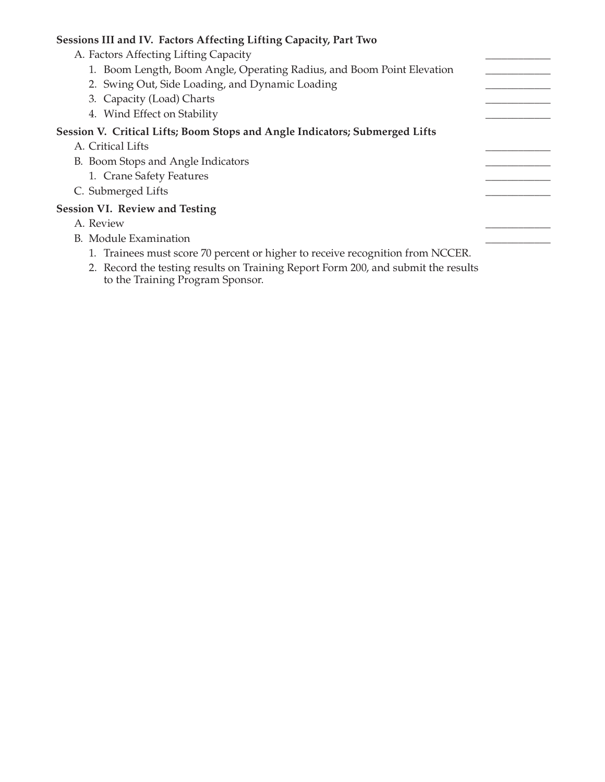#### **Sessions III and IV. Factors Affecting Lifting Capacity, Part Two**

- A. Factors Affecting Lifting Capacity
	- 1. Boom Length, Boom Angle, Operating Radius, and Boom Point Elevation
	- 2. Swing Out, Side Loading, and Dynamic Loading
	- 3. Capacity (Load) Charts
	- 4. Wind Effect on Stability

#### **Session V. Critical Lifts; Boom Stops and Angle Indicators; Submerged Lifts**

- A. Critical Lifts
- B. Boom Stops and Angle Indicators
	- 1. Crane Safety Features
- C. Submerged Lifts

#### **Session VI. Review and Testing**

- A. Review \_\_\_\_\_\_\_\_\_\_\_\_
- B. Module Examination
	- 1. Trainees must score 70 percent or higher to receive recognition from NCCER.
	- 2. Record the testing results on Training Report Form 200, and submit the results to the Training Program Sponsor.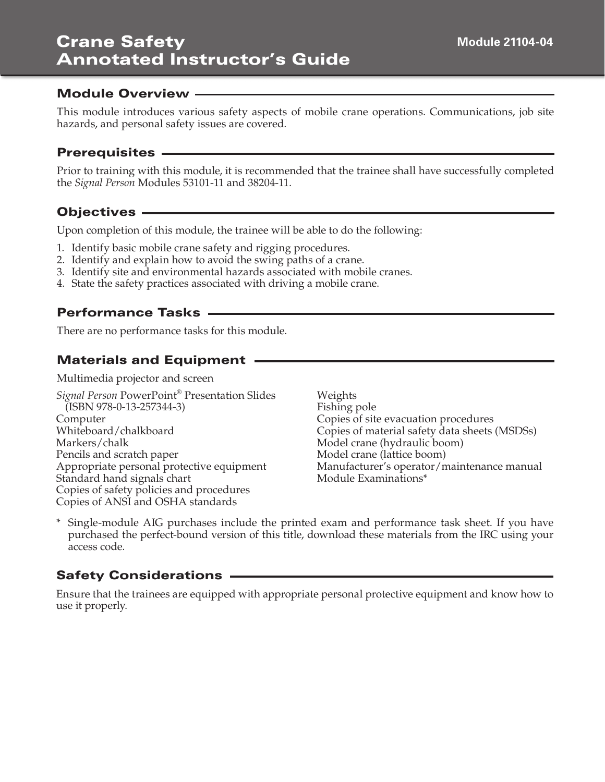#### Module Overview

This module introduces various safety aspects of mobile crane operations. Communications, job site hazards, and personal safety issues are covered.

#### Prerequisites

Prior to training with this module, it is recommended that the trainee shall have successfully completed the *Signal Person* Modules 53101-11 and 38204-11.

## Objectives

Upon completion of this module, the trainee will be able to do the following:

- 1. Identify basic mobile crane safety and rigging procedures.
- 2. Identify and explain how to avoid the swing paths of a crane.
- 3. Identify site and environmental hazards associated with mobile cranes.
- 4. State the safety practices associated with driving a mobile crane.

#### Performance Tasks

There are no performance tasks for this module.

## Materials and Equipment

Multimedia projector and screen

*Signal Person* PowerPoint® Presentation Slides (ISBN 978-0-13-257344-3) Computer Whiteboard/chalkboard Markers/chalk Pencils and scratch paper Appropriate personal protective equipment Standard hand signals chart Copies of safety policies and procedures Copies of ANSI and OSHA standards

Weights Fishing pole Copies of site evacuation procedures Copies of material safety data sheets (MSDSs) Model crane (hydraulic boom) Model crane (lattice boom) Manufacturer's operator/maintenance manual Module Examinations\*

\* Single-module AIG purchases include the printed exam and performance task sheet. If you have purchased the perfect-bound version of this title, download these materials from the IRC using your access code.

## Safety Considerations

Ensure that the trainees are equipped with appropriate personal protective equipment and know how to use it properly.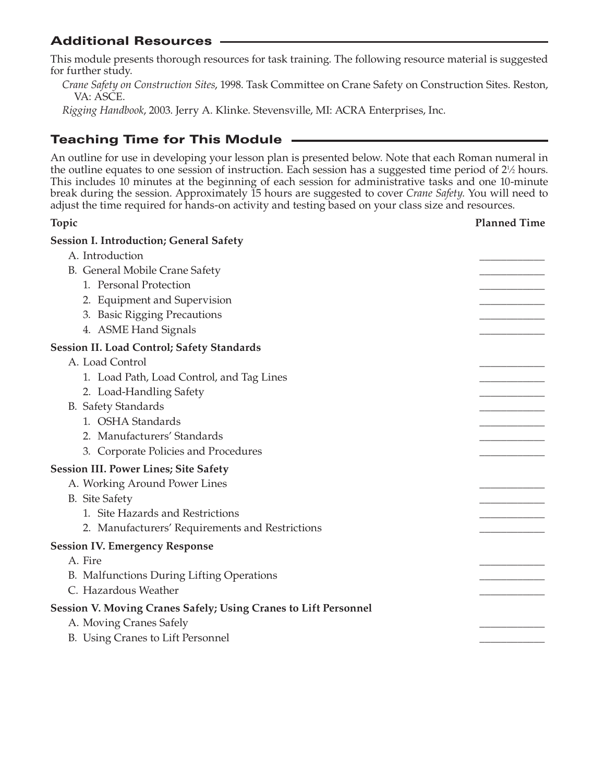## Additional Resources

This module presents thorough resources for task training. The following resource material is suggested for further study.

*Crane Safety on Construction Sites*, 1998. Task Committee on Crane Safety on Construction Sites. Reston, VA: ASCE.

*Rigging Handbook*, 2003. Jerry A. Klinke. Stevensville, MI: ACRA Enterprises, Inc.

## Teaching Time for This Module

An outline for use in developing your lesson plan is presented below. Note that each Roman numeral in the outline equates to one session of instruction. Each session has a suggested time period of  $2\frac{1}{2}$  hours. This includes 10 minutes at the beginning of each session for administrative tasks and one 10-minute break during the session. Approximately 15 hours are suggested to cover *Crane Safety*. You will need to adjust the time required for hands-on activity and testing based on your class size and resources.

# **Topic Planned Time Session I. Introduction; General Safety** A. Introduction B. General Mobile Crane Safety 1. Personal Protection 2. Equipment and Supervision 3. Basic Rigging Precautions 4. ASME Hand Signals **Session II. Load Control; Safety Standards** A. Load Control 1. Load Path, Load Control, and Tag Lines 2. Load-Handling Safety B. Safety Standards 1. OSHA Standards 2. Manufacturers' Standards 3. Corporate Policies and Procedures **Session III. Power Lines; Site Safety** A. Working Around Power Lines B. Site Safety 1. Site Hazards and Restrictions 2. Manufacturers' Requirements and Restrictions **Session IV. Emergency Response** A. Fire \_\_\_\_\_\_\_\_\_\_\_\_ B. Malfunctions During Lifting Operations C. Hazardous Weather

#### **Session V. Moving Cranes Safely; Using Cranes to Lift Personnel**

- A. Moving Cranes Safely
- B. Using Cranes to Lift Personnel